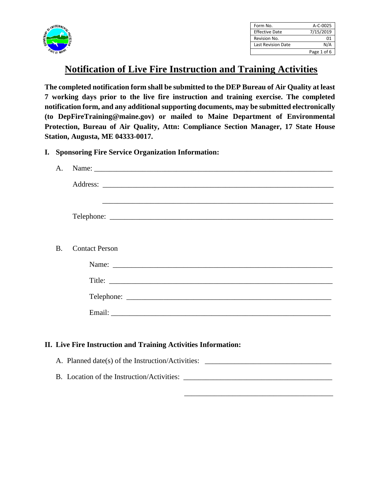

| Form No.                  | A-C-0025    |
|---------------------------|-------------|
| <b>Effective Date</b>     | 7/15/2019   |
| Revision No.              | 01          |
| <b>Last Revision Date</b> | N/A         |
|                           | Page 1 of 6 |

## **Notification of Live Fire Instruction and Training Activities**

**The completed notification form shall be submitted to the DEP Bureau of Air Quality at least 7 working days prior to the live fire instruction and training exercise. The completed notification form, and any additional supporting documents, may be submitted electronically (to DepFireTraining@maine.gov) or mailed to Maine Department of Environmental Protection, Bureau of Air Quality, Attn: Compliance Section Manager, 17 State House Station, Augusta, ME 04333-0017.** 

**I. Sponsoring Fire Service Organization Information:**

| $\mathsf{A}$ . |                                                                |
|----------------|----------------------------------------------------------------|
|                |                                                                |
|                |                                                                |
|                |                                                                |
|                |                                                                |
| <b>B.</b>      | <b>Contact Person</b>                                          |
|                |                                                                |
|                |                                                                |
|                |                                                                |
|                |                                                                |
|                |                                                                |
|                | II. Live Fire Instruction and Training Activities Information: |
|                |                                                                |
|                |                                                                |

 $\overline{\phantom{a}}$  , and the contract of the contract of the contract of the contract of the contract of the contract of the contract of the contract of the contract of the contract of the contract of the contract of the contrac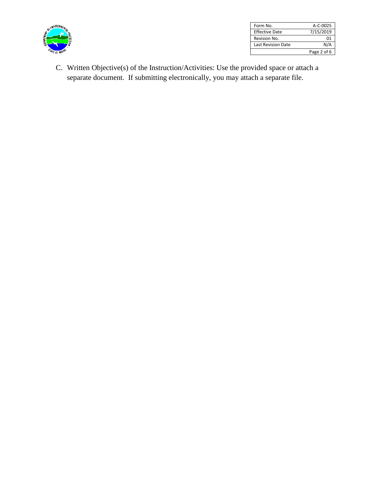

| Form No.                  | $A-C-0025$  |
|---------------------------|-------------|
| <b>Effective Date</b>     | 7/15/2019   |
| Revision No.              | በ1          |
| <b>Last Revision Date</b> | N/A         |
|                           | Page 2 of 6 |

C. Written Objective(s) of the Instruction/Activities: Use the provided space or attach a separate document. If submitting electronically, you may attach a separate file.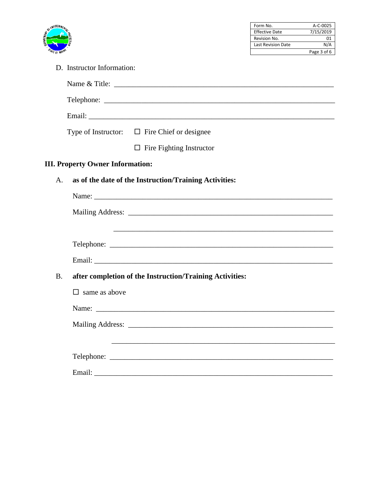

| Form No.                  | A-C-0025    |
|---------------------------|-------------|
| <b>Effective Date</b>     | 7/15/2019   |
| Revision No.              | 01          |
| <b>Last Revision Date</b> | N/A         |
|                           | Page 3 of 6 |

D. Instructor Information:

|           | Type of Instructor: $\Box$ Fire Chief or designee      |                                                                                                                  |  |  |
|-----------|--------------------------------------------------------|------------------------------------------------------------------------------------------------------------------|--|--|
|           |                                                        | $\Box$ Fire Fighting Instructor                                                                                  |  |  |
|           | <b>III. Property Owner Information:</b>                |                                                                                                                  |  |  |
| A.        | as of the date of the Instruction/Training Activities: |                                                                                                                  |  |  |
|           |                                                        |                                                                                                                  |  |  |
|           |                                                        |                                                                                                                  |  |  |
|           |                                                        |                                                                                                                  |  |  |
|           |                                                        |                                                                                                                  |  |  |
|           |                                                        |                                                                                                                  |  |  |
| <b>B.</b> |                                                        | after completion of the Instruction/Training Activities:                                                         |  |  |
|           | $\Box$ same as above                                   |                                                                                                                  |  |  |
|           |                                                        | Name:                                                                                                            |  |  |
|           |                                                        |                                                                                                                  |  |  |
|           |                                                        | and the control of the control of the control of the control of the control of the control of the control of the |  |  |
|           |                                                        |                                                                                                                  |  |  |
|           |                                                        |                                                                                                                  |  |  |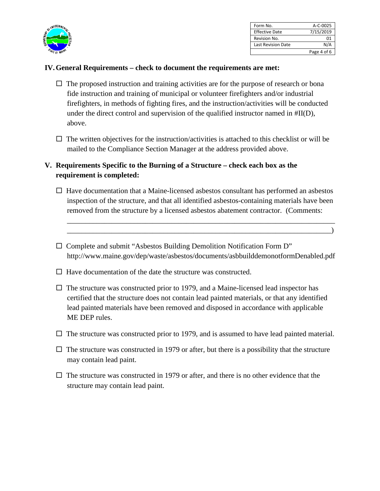

| Form No.                  | A-C-0025    |
|---------------------------|-------------|
| <b>Effective Date</b>     | 7/15/2019   |
| Revision No.              | 01          |
| <b>Last Revision Date</b> | N/A         |
|                           | Page 4 of 6 |

## **IV.General Requirements – check to document the requirements are met:**

- $\Box$  The proposed instruction and training activities are for the purpose of research or bona fide instruction and training of municipal or volunteer firefighters and/or industrial firefighters, in methods of fighting fires, and the instruction/activities will be conducted under the direct control and supervision of the qualified instructor named in #II(D), above.
- $\Box$  The written objectives for the instruction/activities is attached to this checklist or will be mailed to the Compliance Section Manager at the address provided above.

## **V. Requirements Specific to the Burning of a Structure – check each box as the requirement is completed:**

 $\Box$  Have documentation that a Maine-licensed asbestos consultant has performed an asbestos inspection of the structure, and that all identified asbestos-containing materials have been removed from the structure by a licensed asbestos abatement contractor. (Comments:

\_\_\_\_\_\_\_\_\_\_\_\_\_\_\_\_\_\_\_\_\_\_\_\_\_\_\_\_\_\_\_\_\_\_\_\_\_\_\_\_\_\_\_\_\_\_\_\_\_\_\_\_\_\_\_\_\_\_\_\_\_\_\_\_\_\_\_\_\_\_\_\_ \_\_\_\_\_\_\_\_\_\_\_\_\_\_\_\_\_\_\_\_\_\_\_\_\_\_\_\_\_\_\_\_\_\_\_\_\_\_\_\_\_\_\_\_\_\_\_\_\_\_\_\_\_\_\_\_\_\_\_\_\_\_\_\_\_\_\_\_\_\_\_)

- Complete and submit "Asbestos Building Demolition Notification Form D" http://www.maine.gov/dep/waste/asbestos/documents/asbbuilddemonotformDenabled.pdf
- $\Box$  Have documentation of the date the structure was constructed.
- $\Box$  The structure was constructed prior to 1979, and a Maine-licensed lead inspector has certified that the structure does not contain lead painted materials, or that any identified lead painted materials have been removed and disposed in accordance with applicable ME DEP rules.
- $\Box$  The structure was constructed prior to 1979, and is assumed to have lead painted material.
- $\Box$  The structure was constructed in 1979 or after, but there is a possibility that the structure may contain lead paint.
- $\Box$  The structure was constructed in 1979 or after, and there is no other evidence that the structure may contain lead paint.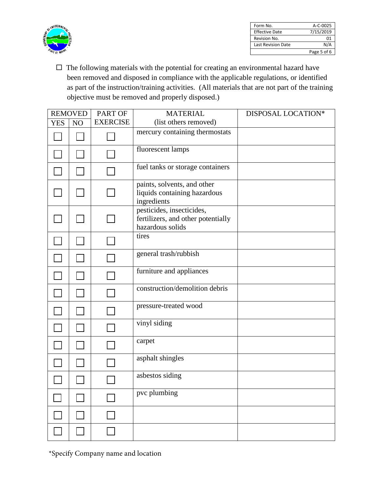

| Form No.                  | $A-C-0025$  |
|---------------------------|-------------|
| <b>Effective Date</b>     | 7/15/2019   |
| Revision No.              | 01          |
| <b>Last Revision Date</b> | N/A         |
|                           | Page 5 of 6 |

 $\Box$  The following materials with the potential for creating an environmental hazard have been removed and disposed in compliance with the applicable regulations, or identified as part of the instruction/training activities. (All materials that are not part of the training objective must be removed and properly disposed.)

|            | <b>REMOVED</b> | PART OF         | <b>MATERIAL</b>                                                                     | DISPOSAL LOCATION* |
|------------|----------------|-----------------|-------------------------------------------------------------------------------------|--------------------|
| <b>YES</b> | NO             | <b>EXERCISE</b> | (list others removed)                                                               |                    |
|            |                |                 | mercury containing thermostats                                                      |                    |
|            |                |                 | fluorescent lamps                                                                   |                    |
|            |                |                 | fuel tanks or storage containers                                                    |                    |
|            |                |                 | paints, solvents, and other<br>liquids containing hazardous<br>ingredients          |                    |
|            |                |                 | pesticides, insecticides,<br>fertilizers, and other potentially<br>hazardous solids |                    |
|            |                |                 | tires                                                                               |                    |
|            |                |                 | general trash/rubbish                                                               |                    |
|            |                |                 | furniture and appliances                                                            |                    |
|            |                |                 | construction/demolition debris                                                      |                    |
|            |                |                 | pressure-treated wood                                                               |                    |
|            |                |                 | vinyl siding                                                                        |                    |
|            |                |                 | carpet                                                                              |                    |
|            |                |                 | asphalt shingles                                                                    |                    |
|            |                |                 | asbestos siding                                                                     |                    |
|            |                |                 | pvc plumbing                                                                        |                    |
|            |                |                 |                                                                                     |                    |
|            |                |                 |                                                                                     |                    |

\*Specify Company name and location